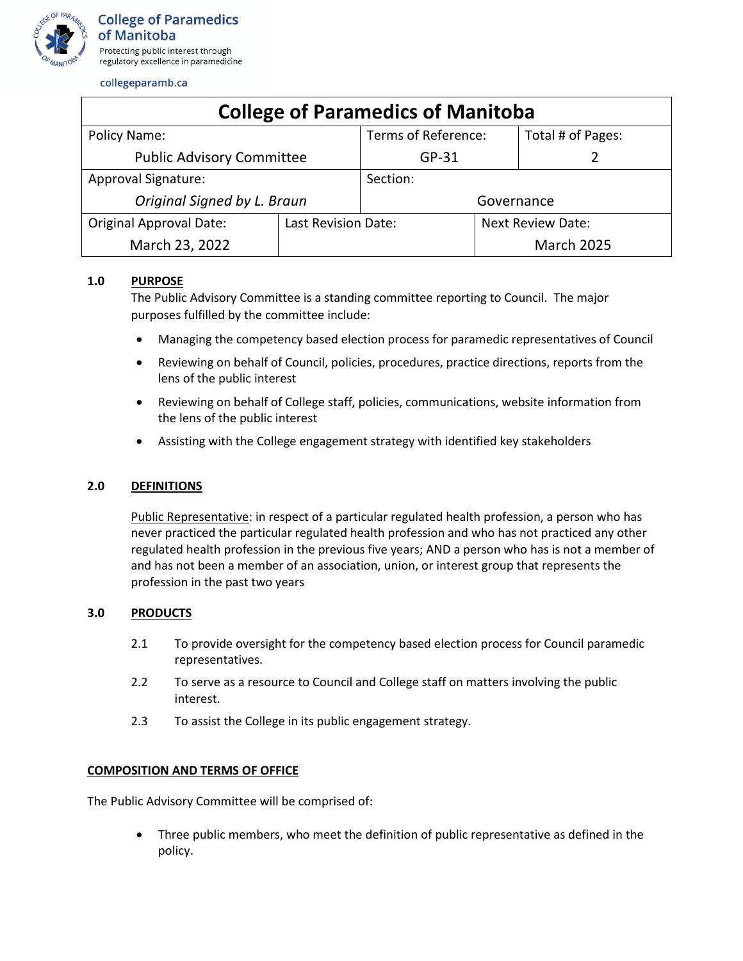

collegeparamb.ca

| <b>College of Paramedics of Manitoba</b> |                     |                     |                          |                   |
|------------------------------------------|---------------------|---------------------|--------------------------|-------------------|
| Policy Name:                             |                     | Terms of Reference: |                          | Total # of Pages: |
| <b>Public Advisory Committee</b>         |                     | $GP-31$             |                          |                   |
| <b>Approval Signature:</b>               |                     | Section:            |                          |                   |
| Original Signed by L. Braun              |                     | Governance          |                          |                   |
| <b>Original Approval Date:</b>           | Last Revision Date: |                     | <b>Next Review Date:</b> |                   |
| March 23, 2022                           |                     |                     |                          | <b>March 2025</b> |

# **1.0 PURPOSE**

The Public Advisory Committee is a standing committee reporting to Council. The major purposes fulfilled by the committee include:

- Managing the competency based election process for paramedic representatives of Council
- Reviewing on behalf of Council, policies, procedures, practice directions, reports from the lens of the public interest
- Reviewing on behalf of College staff, policies, communications, website information from the lens of the public interest
- Assisting with the College engagement strategy with identified key stakeholders

# **2.0 DEFINITIONS**

Public Representative: in respect of a particular regulated health profession, a person who has never practiced the particular regulated health profession and who has not practiced any other regulated health profession in the previous five years; AND a person who has is not a member of and has not been a member of an association, union, or interest group that represents the profession in the past two years

# **3.0 PRODUCTS**

- 2.1 To provide oversight for the competency based election process for Council paramedic representatives.
- 2.2 To serve as a resource to Council and College staff on matters involving the public interest.
- 2.3 To assist the College in its public engagement strategy.

# **COMPOSITION AND TERMS OF OFFICE**

The Public Advisory Committee will be comprised of:

• Three public members, who meet the definition of public representative as defined in the policy.